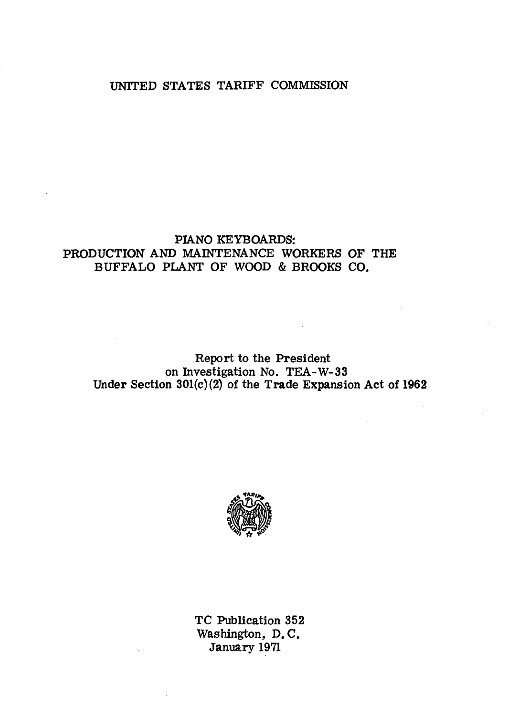# UNITED STATES TARIFF COMMISSION

# PIANO KEYBOARDS: PRODUCTION AND MAINTENANCE WORKERS OF THE BUFFALO PLANT OF WOOD & BROOKS CO.

# Report to the President on Investigation No. TEA-W-33 Under Section  $301(c)(2)$  of the Trade Expansion Act of 1962



TC Publication 352 Washington, D. C. January 1971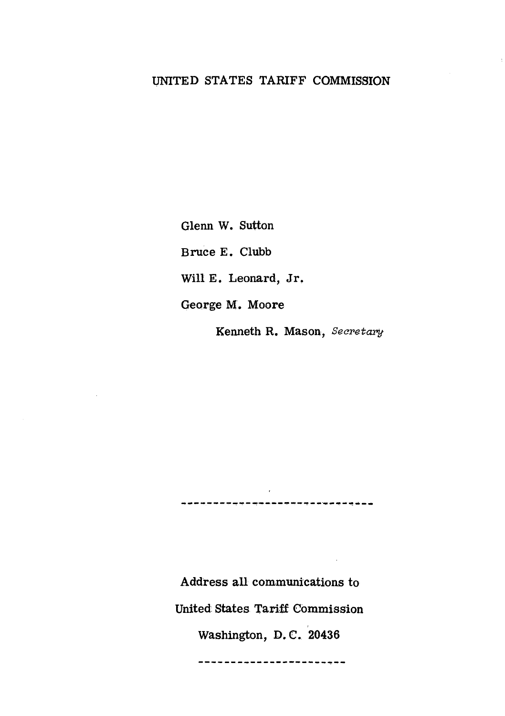# UNITED STATES TARIFF COMMISSION

Glenn W. Sutton

Bruce E. Clubb

Will E. Leonard, Jr.

George M. Moore

Kenneth R. Mason, *Secretary* 

 $\mathcal{L}^{\text{max}}_{\text{max}}$  and  $\mathcal{L}^{\text{max}}_{\text{max}}$ 

Address all communications to United States Tariff Commission Washington, D. C. 20436

-----------------------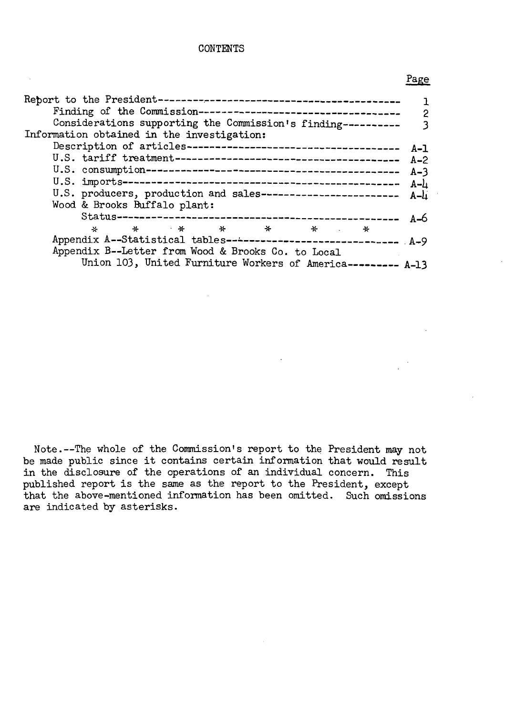#### CONTENTS

# Page

|                                                                 | $\overline{2}$ |
|-----------------------------------------------------------------|----------------|
| Considerations supporting the Commission's finding----------    | ર              |
| Information obtained in the investigation:                      |                |
|                                                                 | $A-1$          |
|                                                                 | $A - 2$        |
|                                                                 | $A-3$          |
|                                                                 | A-4            |
| U.S. producers, production and sales------------------------    | A-Li           |
| Wood & Brooks Buffalo plant:                                    |                |
|                                                                 |                |
|                                                                 |                |
| Appendix A--Statistical tables----------------------------- A-9 |                |
| Appendix B--Letter from Wood & Brooks Co. to Local              |                |
| Union 103, United Furniture Workers of America--------- A-13    |                |

Note.--The whole of the Commission's report to the President may not hote:--- The whole of the commission's report to the freshent may not<br>be made public since it contains certain information that would result in the disclosure of the operations of an individual concern. This published report is the same as the report to the President, except that the above-mentioned information has been omitted. Such omissions are indicated by asterisks.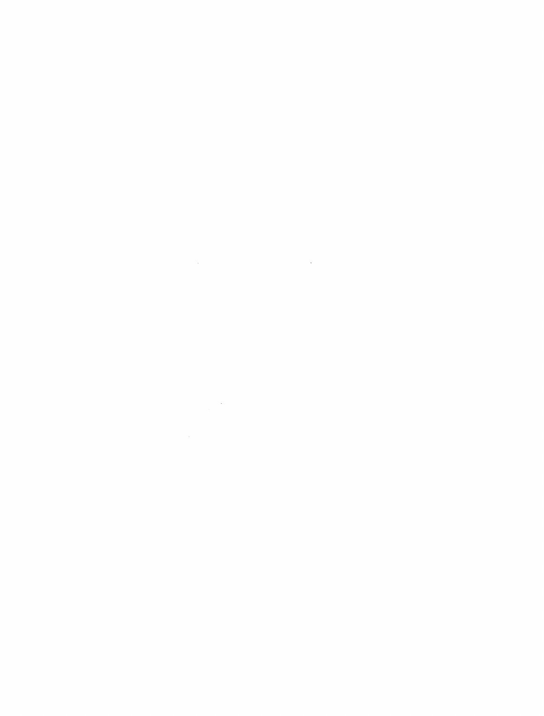$\label{eq:2.1} \mathcal{L}(\mathcal{L}(\mathcal{L}))=\mathcal{L}(\mathcal{L}(\mathcal{L}))=\mathcal{L}(\mathcal{L}(\mathcal{L}))=\mathcal{L}(\mathcal{L}(\mathcal{L}))=\mathcal{L}(\mathcal{L}(\mathcal{L}))$ 

 $\label{eq:2} \frac{1}{\sqrt{2\pi}}\frac{1}{\sqrt{2\pi}}\sum_{i=1}^N\frac{1}{\sqrt{2\pi}}\left(\frac{1}{\sqrt{2\pi}}\right)^2\frac{1}{\sqrt{2\pi}}\int_0^\pi\frac{1}{\sqrt{2\pi}}\frac{1}{\sqrt{2\pi}}\frac{1}{\sqrt{2\pi}}\frac{1}{\sqrt{2\pi}}\frac{1}{\sqrt{2\pi}}\frac{1}{\sqrt{2\pi}}\frac{1}{\sqrt{2\pi}}\frac{1}{\sqrt{2\pi}}\frac{1}{\sqrt{2\pi}}\frac{1}{\sqrt{2\pi}}\frac{1}{\sqrt{2\pi}}$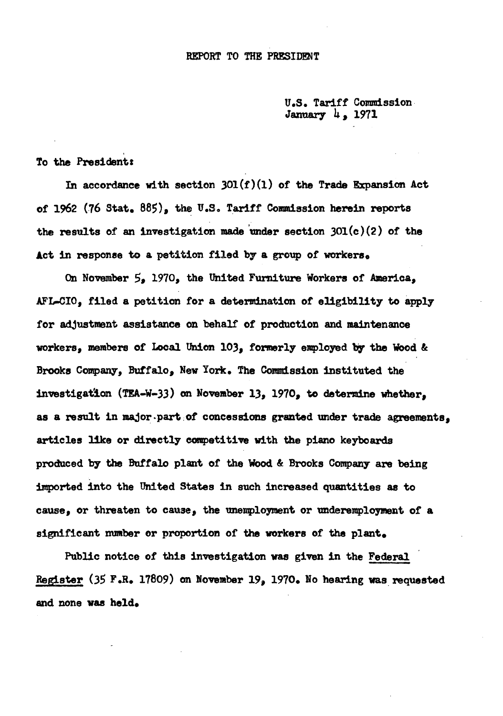REPORT TO THE PRESIDENT

U.S. Tariff Commission January  $\mu$ , 1971

### To the President:

In accordance with section  $301(f)(1)$  of the Trade Expansion Act of 1962 (76 Stat. 885). the U.S. Tariff Commission herein reports the results of an investigation made under section  $301(c)(2)$  of the Act in response to a petition filed by a group of workers.

On November  $5$ , 1970, the United Furniture Workers of America, AFL-CIO, filed a petition for a determination of eligibility to apply for adjustment assistance on behalf of production and maintenance workers, members of Local Union 103, formerly employed by the Wood & Brooks Company, Buffalo, New York. The Commission instituted the inwstigat'ion (TEA-W-33) on November 1.3, 1970, *to* determine whether, as a result in major.part of concessions granted under trade agreements, articles like or directly competitive with the piano keyboards produced by the Buffalo plant of the Wood & Brooks Company are being imported into the United States in such increased quantities as to cause, or threaten to cause, the unemployment or underemployment of a significant mumber or proportion of the workers of the plant.

Public notice of this investigation was given in the Federal Register (35 F.R. 17809) on November 19, 1970. No hearing was requested and none was held.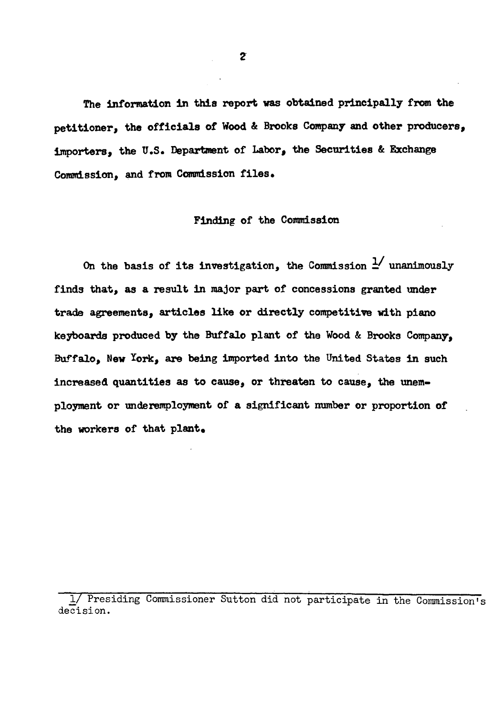The information in this report was obtained principally from the petitioner, the officials of Wood & Brooks Company and other producers, importers, the U.S. Department of Labor, the Securities & Exchange Commission, and from Commission files.

#### Finding of the Commission

On the basis of its investigation, the Commission  $\frac{1}{2}$  unanimously finds that, as a result in major part of concessions granted under trade agreements, articles like or directly competitive with piano keyboards produced by the Buffalo plant of the Wood & Brooks Company, Buffalo, New York, are being imported into the United States in such increased quantities as to cause, or threaten to cause, the unemployment or underemployment of a significant number or proportion of the workers of that plant.

*1,/* Presiding Commissioner Sutton did not participate in the Commission's decision.

 $\boldsymbol{z}$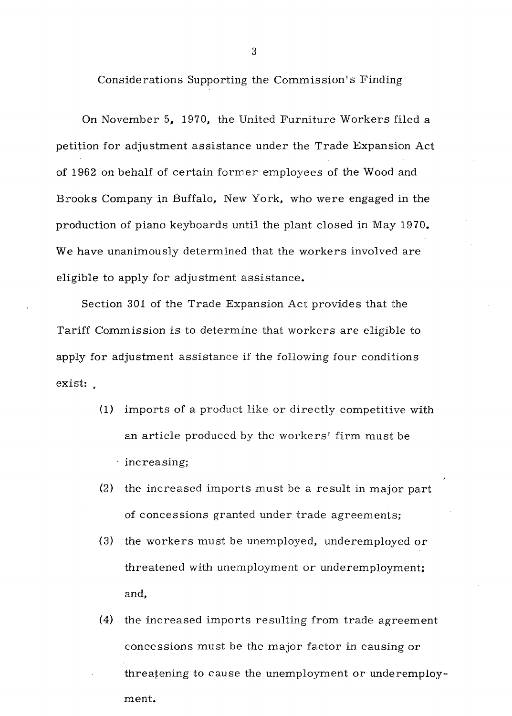Considerations Supporting the Commission's Finding

On November 5, 1970, the United Furniture Workers filed a petition for adjustment assistance under the Trade Expansion Act of 1962 on behalf of certain former employees of the Wood and Brooks Company in Buffalo, New York, who were engaged in the production of piano keyboards until the plant closed in May 1970. We have unanimously determined that the workers involved are eligible to apply for adjustment assistance.

Section 301 of the Trade Expansion Act provides that the Tariff Commission is to determine that workers are eligible to apply for adjustment assistance if the following four conditions exist:

- (1) imports of a product like or directly competitive with an article produced by the workers' firm must be increasing;
- (2) the increased imports must be a result in major part of concessions granted under trade agreements;
- (3) the workers must be unemployed, underemployed or threatened with unemployment or underemployment; and,
- (4) the increased imports resulting from trade agreement concessions must be the major factor in causing or threatening to cause the unemployment or underemployment.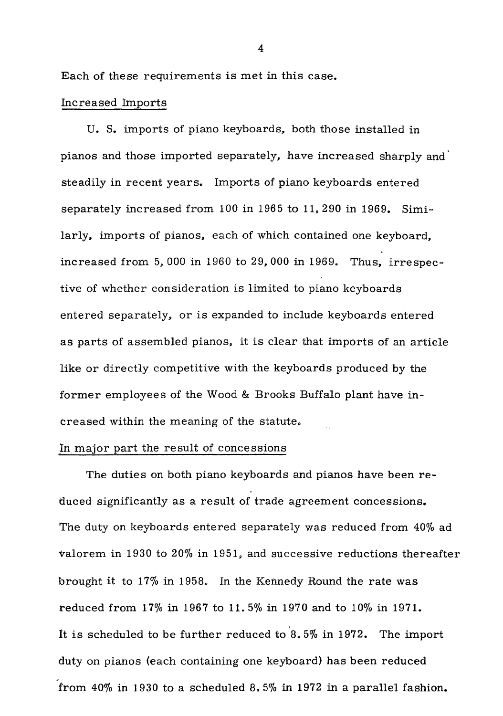Each of these requirements is met in this case.

### Increased Imports

U. S. imports of piano keyboards, both those installed in pianos and those imported separately, have increased sharply and· steadily in recent years. Imports of piano keyboards entered separately increased from 100 in 1965 to 11, 290 in 1969. Similarly, imports of pianos. each of which contained one keyboard, increased from 5, 000 in 1960 to 29, 000 in 1969. Thus, irrespective of whether consideration is limited to piano keyboards entered separately, or is expanded to include keyboards entered as parts of assembled pianos, it is clear that imports of an article like or directly competitive with the keyboards produced by the former employees of the Wood & Brooks Buffalo plant have increased within the meaning of the statute.

## In major part the result of concessions

The duties on both piano keyboards and pianos have been reduced significantly as a result of trade agreement concessions. The duty on keyboards entered separately was reduced from 40% ad valorem in 1930 to 20% in 1951. and successive reductions thereafter brought it to 17% in 1958. In the Kennedy Round the rate was reduced from 17% in 1967 to 11. 5% in 1970 and to 10% in 1971. lt is scheduled to be further reduced to 8. 5% in 1972. The import duty on pianos (each containing one keyboard) has been reduced from  $40\%$  in 1930 to a scheduled 8.5% in 1972 in a parallel fashion.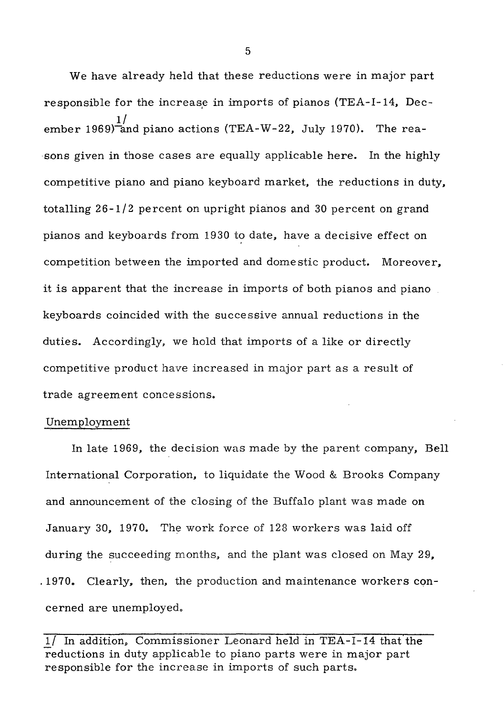We have already held that these reductions were in major part responsible for the increase in imports of pianos (TEA-I-14, Dec- $\frac{1}{2}$ ember 1969)<sup>-2</sup> and piano actions (TEA-W-22, July 1970). The reasons given in those cases are equally applicable here. In the highly competitive piano and piano keyboard market, the reductions in duty, totalling 26-1/2 percent on upright pianos and 30 percent on grand pianos and keyboards from 1930 to date, have a decisive effect on competition between the imported and domestic product. Moreover. it is apparent that the increase in imports of both pianos and piano keyboards coincided with the successive annual reductions in the duties. Accordingly, we hold that imports of a like or directly competitive product have increased in major part as a result of trade agreement concessions.

#### Unemployment

In late 1969, the decision was made by the parent company. Bell International Corporation, to liquidate the Wood & Brooks Company and announcement of the closing of the Buffalo plant was made on January 30, 1970. The work force of 128 workers was laid off during the succeeding months, and the plant was closed on May 29, . 1970. Clearly, then, the production and maintenance workers concerned are unemployed.

1/ In addition» Commissioner Leonard held in TEA-I-14 that the reductions in duty applicable to piano parts were in major part responsible for the increase in imports of such parts.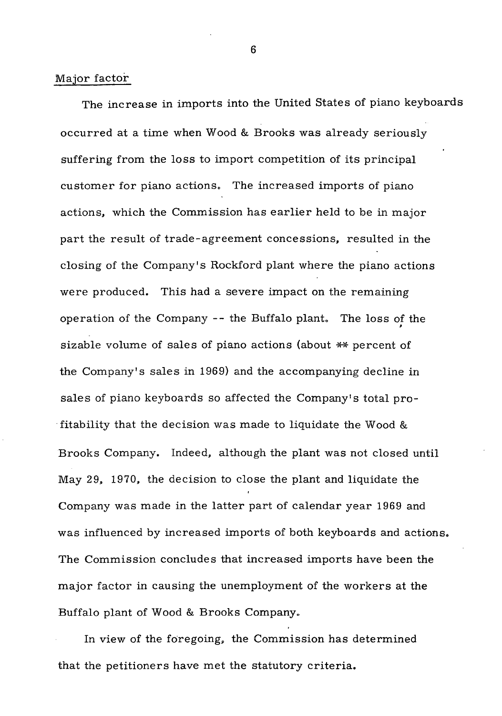### Major factor

The increase in imports into the United States of piano keyboards occurred at a time when Wood & Brooks was already seriously suffering from the loss to import competition of its principal customer for piano actions. The increased imports of piano actions, which the Commission has earlier held to be in major part the result of trade-agreement concessions, resulted in the closing of the Company's Rockford plant where the piano actions were produced. This had a severe impact on the remaining operation of the Company -- the Buffalo plant. The loss of the sizable volume of sales of piano actions (about \*\* percent of the Company's sales in 1969) and the accompanying decline in sales of piano keyboards so affected the Company's total pro fitability that the decision was made to liquidate the Wood  $\&$ Brooks Company. Indeed, although the plant was not closed until May *29,* 1970, the decision to close the plant and liquidate the Company was made in the latter part of calendar year 1969 and was influenced by increased imports of both keyboards and actions. The Commission concludes that increased imports have been the major factor in causing the unemployment of the workers at the Buffalo plant of Wood & Brooks Company.

In view of the foregoing. the Commission has determined that the petitioners have met the statutory criteria.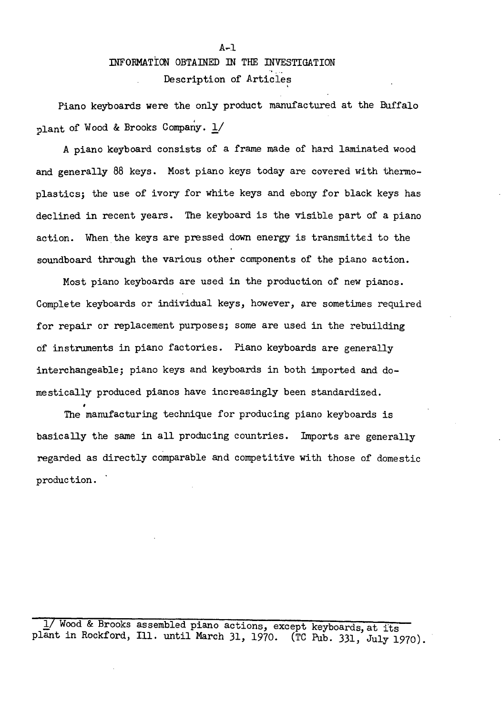## A.-1 INFORMATION OBTAINED IN THE INVESTIGATION  $\cdot$  . Description of Articles

Piano keyboards were the only product manufactured at the Buffalo plant of Wood & Brooks Company.  $1/$ 

A piano keyboard consists of a frame made of hard laminated wood and generally 88 keys. Most piano keys today are covered with thermoplastics; the use of ivory for white keys and ebony for black keys has declined in recent years. The keyboard is the visible part of a piano action. When the keys are pressed down energy is transmitted to the soundboard through the various other components of the piano action.

Most piano keyboards are used in the production of new pianos. Complete keyboards or individual keys, however, are sometimes required for repair or replacement purposes; some are used in the rebuilding of instruments in piano factories. Piano keyboards are generally interchangeable; piano keys and keyboards in both imported and domestically produced pianos have increasingly been standardized.

The manufacturing technique for producing piano keyboards is basically the same in all producing countries. Imports are generally regarded as directly comparable and competitive with those of domestic production.

1/ Wood & Brooks assembled piano actions, except keyboards, at its plant in Rockford, Ill. until March 31, 1970. (TC Pub. 331, July 1970).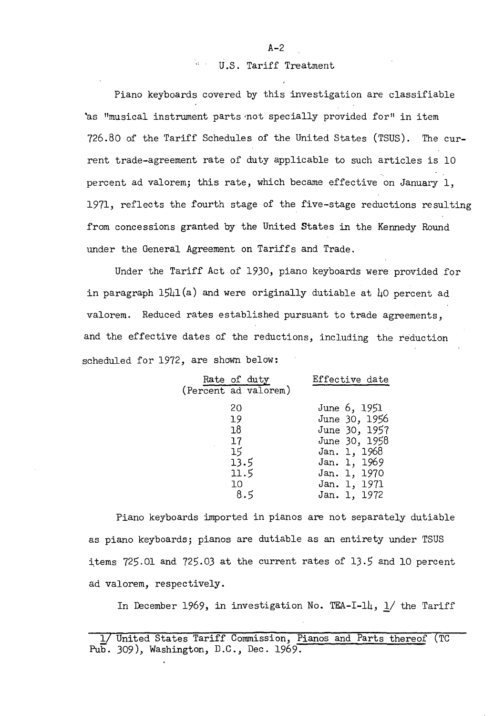U.S. Tariff Treatment

Piano keyboards covered by this investigation are classifiable 'as "musical instrument parts ·not specially provided for" in item 726.80 of the Tariff Schedules of the United States (TSUS). The current trade-agreement rate of duty applicable to such articles is 10 percent ad valorem; this rate, which became effective on January 1, 1971, reflects the fourth stage of the five-stage reductions resulting from concessions granted by the United States in the Kennedy Round under the General Agreement on Tariffs and Trade.

Under the Tariff Act of 1930, piano keyboards were provided for in paragraph  $1541(a)$  and were originally dutiable at  $\mu$ 0 percent ad valorem. Reduced rates established pursuant to trade agreements, and the effective dates of the reductions, including the reduction scheduled for 1972, are shown below:

| Rate of duty<br>(Percent ad valorem) | Effective date |
|--------------------------------------|----------------|
| 20                                   | June 6, 1951   |
| 19                                   | June 30, 1956  |
| 18                                   | June 30, 1957  |
| 17                                   | June 30, 1958  |
| 15                                   | Jan. 1, 1968   |
| 13.5                                 | Jan. 1, 1969   |
| 11.5                                 | Jan. 1, 1970   |
| 10                                   | Jan. 1, 1971   |
| 8.5                                  | Jan. 1, 1972   |

Piano keyboards imported in pianos are not separately dutiable as piano keyboards; pianos are dutiable as an entirety under TSUS items 725.0l and 725.03 at the current rates of 13.5 and 10 percent ad valorem, respectively.

In December 1969, in investigation No. TEA-I-1 $\mu$ , 1/ the Tariff

#### A-2

<sup>1/</sup> United States Tariff Commission, Pianos and Parts thereof (TC Pub. 309), Washington, D.C., Dec. 1969.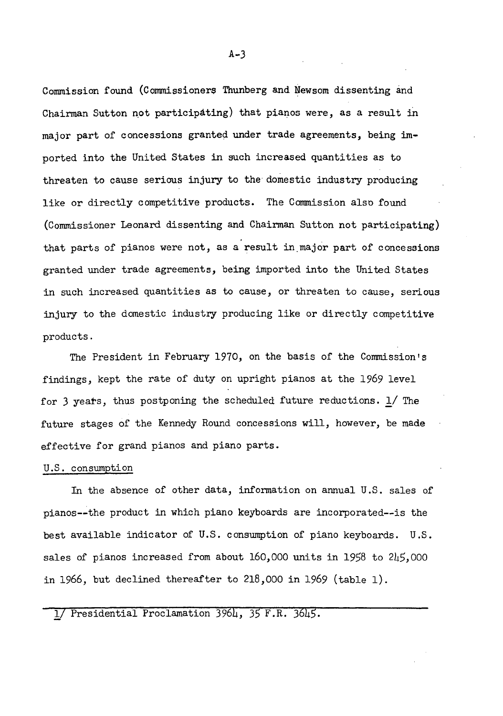Commission found (Commissioners Thunberg and Newsom dissenting and Chairman Sutton not participating) that pianos were, as a result in major part of concessions granted under trade agreements, being imported into the United States in such increased quantities as to threaten to cause serious injury to the domestic industry producing like or directly competitive products. The Commission also found (Commissioner Leonard dissenting and Chairman Sutton not participating) that parts of pianos were not, as a result in major part of concessions granted under trade agreements, being imported into the United States in such increased quantities as to cause, or threaten to cause, serious injury to the domestic industry producing like or directly competitive products.

The President in February 1970, on the basis of the Commission's findings, kept the rate of duty on upright pianos at the 1969 level for *3* yeats, thus postponing the scheduled future reductions. 1/ The future stages of the Kennedy Round concessions will, however, be made effective for grand pianos and piano parts.

#### U.S. consumption

In the absence of other data, information on annual U.S. sales of pianos--the product in which piano keyboards are incorporated--is the best available indicator of U.S. consumption of piano keyboards. U.S. sales of pianos increased from about  $160,000$  units in  $1958$  to  $245,000$ in 1966, but declined thereafter to 218,000 in 1969 (table 1).

1/ Presidential Proclamation 3964, *35* F.R. 3645.

 $A-3$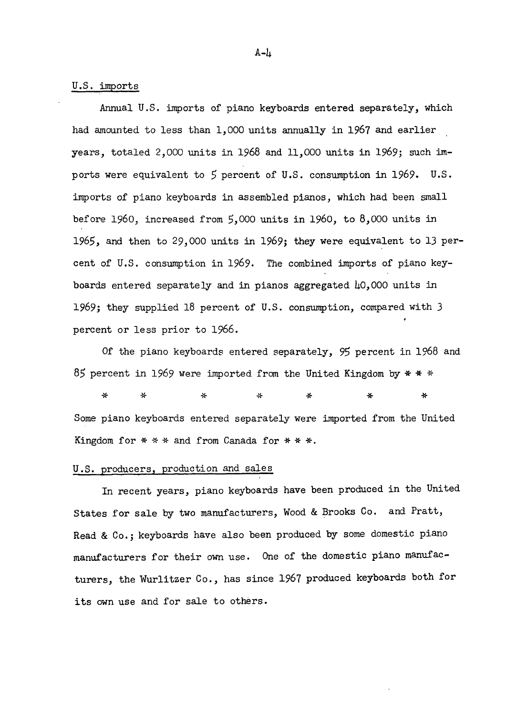### U.S. imports

Annual U.S. imports of piano keyboards entered separately, which had amounted to less than  $1,000$  units annually in 1967 and earlier years, totaled 2,000 units in  $1968$  and  $11,000$  units in  $1969$ ; such imports were equivalent to *5* percent of U.S. consumption in 1969. U.S. imports of piano keyboards in assembled pianos, which had been small before 1960, increased from *5,000* units in 1960, to 8,000 units in 1965, and then to 29,000 units in 1969; they were equivalent to 13 percent of U.S. consumption in 1969. The combined imports of piano keyboards entered separately and in pianos aggregated  $\mu$ 0,000 units in 1969; they supplied 18 percent of U.S. consumption, compared with *3*  percent or less prior to 1966.

Of the piano keyboards entered separately, *95* percent in 1968 and 85 percent in 1969 were imported from the United Kingdom by \* \* \*

\* \* \* \* \* \* \* Some piano keyboards entered separately were imported from the United Kingdom for  $* * *$  and from Canada for  $* * *$ .

#### U.S. producers, production and sales

In recent years, piano keyboards have been produced in the United States for sale by two manufacturers, Wood & Brooks Co. and Pratt, Read & Co.; keyboards have also been produced by some domestic piario manufacturers for their own use. One of the domestic piano manufacturers, the Wurlitzer Co., has since 1967 produced keyboards both for its own use and for sale to others.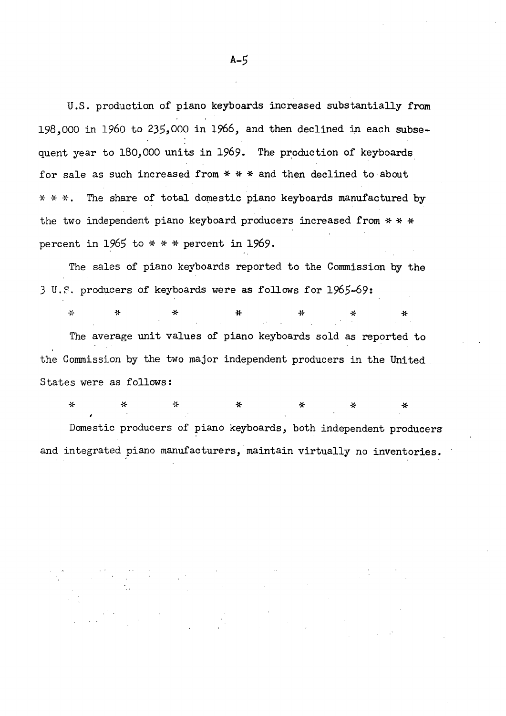U.S. production of piano keyboards increased substantially **from**  198,000 in 1960 to *235,000* in 1966, and then declined in each subsequent year to 180,000 units in 1969. The production of keyboards for sale as such increased from  $*$   $*$   $*$  and then declined to about \* \* \*. The share of total domestic piano keyboards manufactured by the two independent piano keyboard producers increased from \* \* \* percent in 1965 to  $* * *$  percent in 1969.

The sales of piano keyboards reported to the Commission by the 3 U.S. producers of keyboards were as follows for 1965-69:

~- \* \* \* \* \* \* The average unit values of piano keyboards sold as reported to the Commission by the two major independent producers in the United. States were as follows:

∗ \* \* \* \* \* \* \* Domestic producers of piano keyboards, both independent producers and integrated piano manufacturers, maintain virtually no inventories.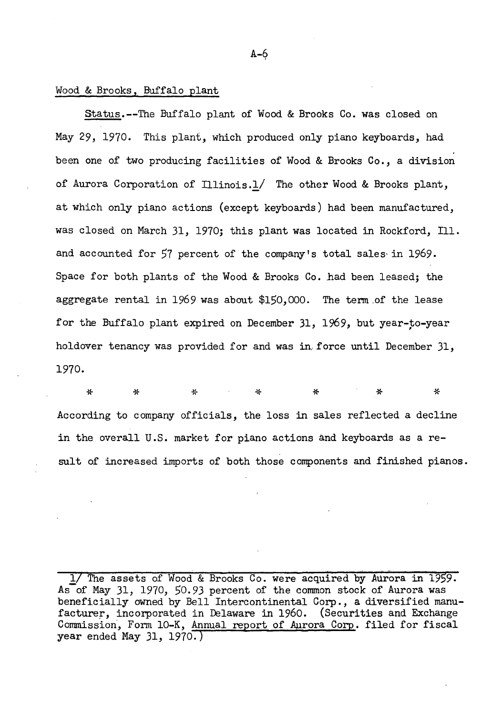## Wood & Brooks, Buffalo plant

Status.--The Buffalo plant of Wood & Brooks Co. was closed on May 29, 1970. This plant, which produced only piano keyboards, had been one of two producing facilities of Wood & Brooks Co., a division of Aurora Corporation of Illinois. $1/$  The other Wood & Brooks plant, at which only piano actions (except keyboards) had been manufactured, was closed on March 31, 1970; this plant was located in Rockford, Ill. and accounted for *57* percent of the company's total sales-in 1969. Space for both plants of the Wood & Brooks Co. had been leased; the aggregate rental in 1969 was about \$150,000. The term.of the lease for the Buffalo plant expired on December 31,  $1969$ , but year-to-year holdover tenancy was provided for and was in.force until December 31, 1970.

\* \* \* \* \* \* According to company officials, the loss in sales reflected a decline in the overall U.S. market for piano actions and keyboards as a result of increased imports of both those components and finished pianos.

1/ The assets of Wood & Brooks Co. were acquired by Aurora in 1959. As of May 31, 1970, 50.93 percent of the common stock of Aurora was beneficially owned by Bell Intercontinental Corp., a diversified manufacturer, incorporated in Delaware in 1960. (Securities and Exchange Commission, Form 10-K, Annual report of Aurora Corp. filed for fiscal year ended May 31, 1970.

A–6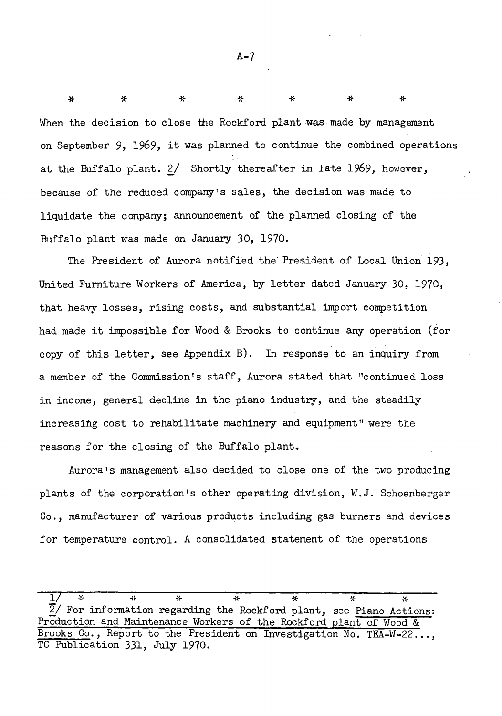\* \* \* \* \* \* \* When the decision to close the Rockford plant .. was made by management on September 9, 1969, it was planned to continue the combined operations at the Buffalo plant. 2/ Shortly thereafter in late 1969, however, because of the reduced company's sales, the decision was made to liquidate the company; announcement of the planned closing of the Buffalo plant was made on January 30, 1970.

The President of Aurora notified the President of Local Union 193, United Furniture Workers of America, by letter dated January 30, 1970, that heavy losses, rising costs, and substantial import competition had made it impossible for Wood & Brooks to continue any operation (for copy of this letter, see Appendix B). In response to an inquiry from a member of the Commission's staff, Aurora stated that "continued loss in income, general decline in the piano industry, and the steadily increasing cost to rehabilitate machinery and equipment" were the reasons for the closing of the Buffalo plant.

Aurora's management also decided to close one of the two producing plants of the corporation's other operating division,  $W.J.$  Schoenberger Co., manufacturer of various products including gas burners and devices for temperature control. A consolidated statement of the operations

A-7

 $\frac{1}{2}$  \* \* \* \* \* \* \* \* \* \* \* \* \* \* \* \*  $\frac{1}{2}$  For information regarding the Rockford plant, see Piano Actions: Production and Maintenance Workers of the Rockford plant of Wood & Brooks Co., Report to the President on Investigation No. TEA-W-22..., TC Publication 331, July 1970.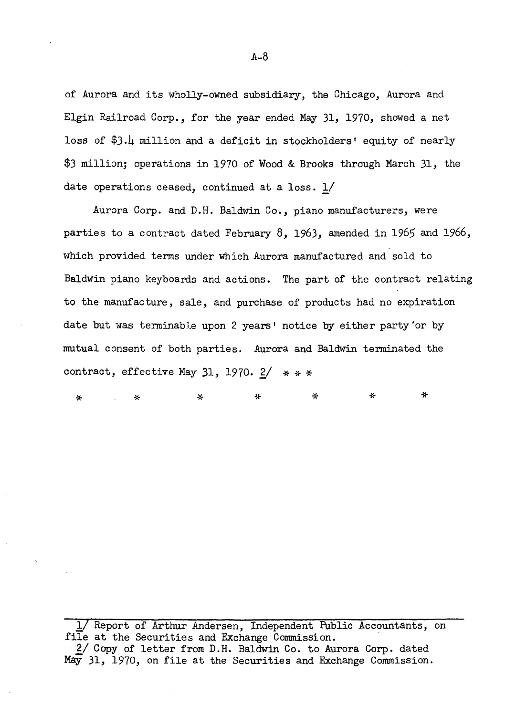of Aurora and its wholly-owned subsidiary, the Chicago, Aurora and Elgin Railroad Corp., for the year ended May 31, 1970, showed a net loss of \$3.4 million and a deficit in stockholders' equity of nearly \$3 million; operations in 1970 of Wood & Brooks through March 31, the date operations ceased, continued at a loss.  $1/$ 

Aurora Corp. and D.H. Baldwin Co., piano manufacturers, were parties to a contract dated February 8, 1963, amended in 1965 and 1966, which provided terms under which Aurora manufactured and sold to Baldwin piano keyboards and actions. The part of the contract relating to the manufacture, sale, and purchase of products had no expiration date but was terminable upon 2 years' notice by either party 'or by mutual consent of both parties. Aurora and Baldwin terminated the contract, effective May 31, 1970.  $2/$  \* \* \*

\* \* \* \* \* \* \* \* \*

1/ Report of Arthur Andersen, Independent Public Accountants, on file at the Securities and Exchange Commission.

2/ Copy of letter from D.H. Baldwin Co. to Aurora Corp. dated May 31, 1970, on file at the Securities and Exchange Commission.

A-8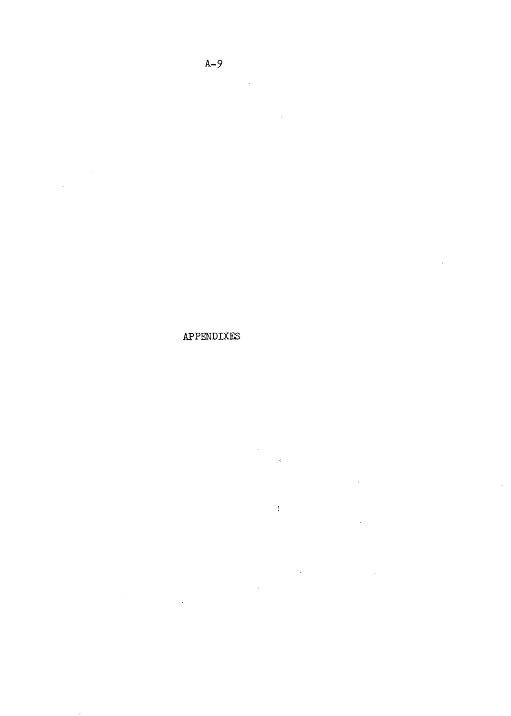$\mathcal{L}_{\text{max}}$ 

 $\mathcal{L}^{\text{max}}_{\text{max}}$  ,  $\mathcal{L}^{\text{max}}_{\text{max}}$  $\mathbb{Z}$ 

# **APPENDIXES**

 $\sim 10^{-11}$ 

 $\bar{\beta}$  $\sim 10^{11}$  km  $^{-1}$ l,

 $\bar{z}$ 

 $\label{eq:2.1} \mathcal{L}(\mathcal{L}^{\text{max}}_{\mathcal{L}}(\mathcal{L}^{\text{max}}_{\mathcal{L}})) \leq \mathcal{L}(\mathcal{L}^{\text{max}}_{\mathcal{L}}(\mathcal{L}^{\text{max}}_{\mathcal{L}})) \leq \mathcal{L}(\mathcal{L}^{\text{max}}_{\mathcal{L}}(\mathcal{L}^{\text{max}}_{\mathcal{L}}))$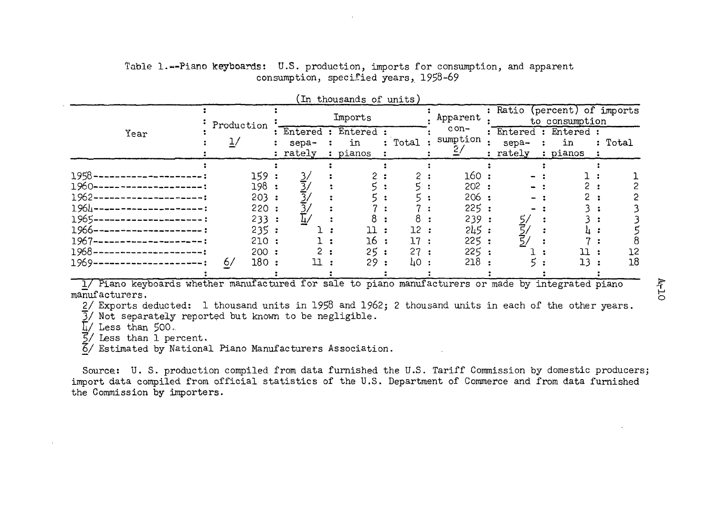|                               |            |                             |                     |  | (In thousands of units) |       |                  |          |                              |                                                |                         |  |                           |  |          |
|-------------------------------|------------|-----------------------------|---------------------|--|-------------------------|-------|------------------|----------|------------------------------|------------------------------------------------|-------------------------|--|---------------------------|--|----------|
|                               | Production |                             | Imports             |  |                         |       |                  | Apparent |                              | : Ratio (percent) of imports<br>to consumption |                         |  |                           |  |          |
| Year                          |            |                             | Entered :<br>sepa-  |  | Entered :<br>in         |       | : Total          |          | con-<br>sumption             |                                                | $sepa-$                 |  | Entered : Entered :<br>in |  | : Total  |
|                               |            |                             | : rately            |  | : pianos                |       |                  |          | $z_{\ell}$                   |                                                | rately                  |  | : pianos                  |  |          |
| 1958<br>1960-                 |            | 159<br>198                  | $\mathcal{Z}$<br>3, |  |                         |       | 2                |          | 160:<br>202:                 |                                                | $\rightarrow$<br>$\sim$ |  |                           |  |          |
| 1962<br>1964<br>1965<br>1966- |            | 203:<br>220:<br>233<br>235: | Δ,                  |  | 11                      |       | 12 -             |          | 206:<br>225:<br>239:<br>245: |                                                | - :<br>दि               |  |                           |  |          |
| 1967-<br>1968<br>1969-        | 6/         | 210:<br>200:<br>180 :       | וו                  |  | 16<br>25<br>29          | <br>÷ | 17<br>27<br>40 : |          | 225:<br>225:<br>218          |                                                |                         |  | 11<br>13                  |  | 12<br>18 |
|                               |            |                             |                     |  |                         |       |                  |          |                              |                                                |                         |  |                           |  |          |

## Table 1.--Piano keyboards: U.S. production, imports for consumption, and apparent consumption, specified years,\_ 1958-69

l~{ano keyboards whether manufactured for sale to piano manufacturers or made by integrated piano manufacturers.

2/ Exports deducted: 1 thousand units in 1958 and 1962; 2 thousand units in each of the other years.

 $\frac{1}{2}$ / Not separately reported but known to be negligible.

 $\overline{11}$  Less than 500.

 $\frac{7}{7}$  Less than 1 percent.

 $5/$  Estimated by National Piano Manufacturers Association.

Source: U. S. production compiled from data furnished the U.S. Tariff Commission by domestic producers; import data compiled from official statistics of the U.S. Department of Commerce and from data furnished the Commission by importers.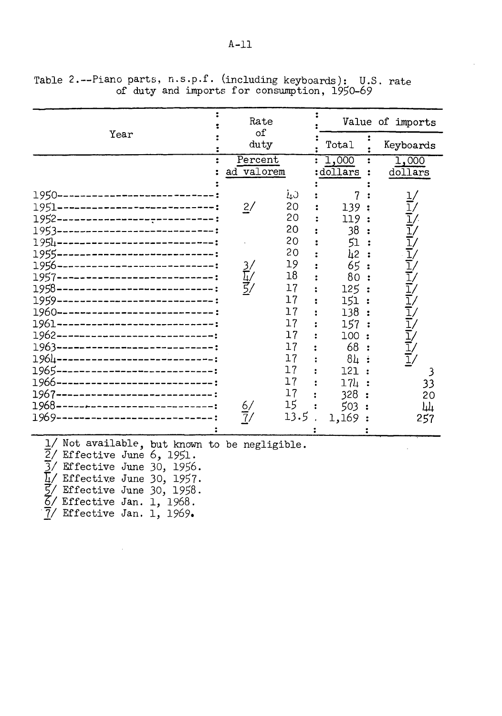|                                                                                                                                                                                                                                                                                                                                                                                                                                                                                                                                                   | Rate                  |                                                                                  |       | Value of imports                                                                     |                             |  |  |  |  |  |
|---------------------------------------------------------------------------------------------------------------------------------------------------------------------------------------------------------------------------------------------------------------------------------------------------------------------------------------------------------------------------------------------------------------------------------------------------------------------------------------------------------------------------------------------------|-----------------------|----------------------------------------------------------------------------------|-------|--------------------------------------------------------------------------------------|-----------------------------|--|--|--|--|--|
| Year                                                                                                                                                                                                                                                                                                                                                                                                                                                                                                                                              | Οſ<br>duty            |                                                                                  | Total | Keyboards                                                                            |                             |  |  |  |  |  |
|                                                                                                                                                                                                                                                                                                                                                                                                                                                                                                                                                   | Percent<br>ad valorem |                                                                                  | ÷     | $\overline{1,000}$<br>:dollars                                                       | 1,000<br>dollars            |  |  |  |  |  |
| 1950----------------------------<br>1951----------------------------<br>1952----------------------------<br>1953-----------------------------<br>1954-<br>---------------------------- <mark>-</mark><br>1955-----------------------------<br>1956----------------------------<br>1957-----------------------------<br>1958----------------------------:<br>1959-----------------------------<br>1960----------------------------:<br>1961-----------------------------:<br>1962----------------------------<br>1963----------------------------- | $\frac{2}{\pi}$       | ĻΟ<br>20<br>20<br>20<br>20<br>20<br>19<br>18<br>17<br>17<br>17<br>17<br>17<br>17 |       | 139 :<br>119<br>38<br>51<br>հ2<br>65<br>80.<br>125<br>151<br>138<br>157<br>100<br>68 |                             |  |  |  |  |  |
| 1964----------------------------:<br>1965-----------------------------<br>1966----------------------------:<br>1967----------------------------<br>1968----------------------------:<br>1969----------------------------:                                                                                                                                                                                                                                                                                                                         |                       | 17<br>17<br>17<br>17<br>15<br>13.5                                               |       | 84<br>121<br>174<br>328<br>503<br>1,169                                              | 3<br>33<br>20<br>गों<br>257 |  |  |  |  |  |

 $\sim 10^{-11}$ 

Table 2.--Piano parts, n.s.p.f. (including keyboards): U.S. rate of duty and imports for consumption, 1950-69

1/ Not available, but known to be negligible.

 $\overline{2}$ / Effective June 6, 1951.

*31* Effective June 30, 1956.  $\frac{1}{4}$ / Effective June 30, 1957.  $\frac{1}{2}$ / Effective June 30, 1958.

2, Effective Jan. 1, 1968.<br>
7/ Effective Jan. 1, 1969.

 $\hat{\mathcal{L}}$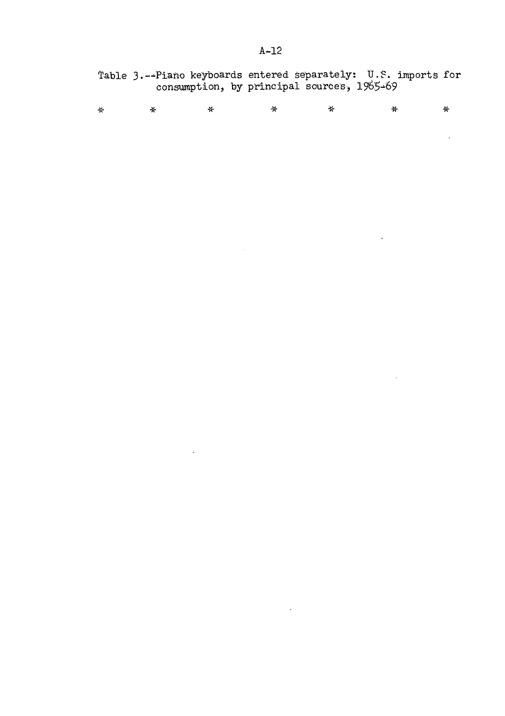Table 3.--Piano keyboards entered separately: U.S. imports for<br>consumption, by principal sources, 1965-69

| ⋇ | $\ast$  | $\star$ | $\pmb{\times}$ | $\boldsymbol{\ast}$ | ¥, | $\star$   |
|---|---------|---------|----------------|---------------------|----|-----------|
|   |         |         |                |                     |    | $\bullet$ |
|   |         |         |                |                     |    |           |
|   |         |         |                |                     |    |           |
|   |         |         |                |                     |    |           |
|   |         | à,      |                | ł,                  |    |           |
|   |         |         |                |                     |    |           |
|   |         |         |                |                     |    |           |
|   |         |         |                |                     |    |           |
|   |         |         |                |                     |    |           |
|   |         |         |                |                     |    |           |
|   |         |         |                |                     |    |           |
|   | $\cdot$ |         |                |                     |    |           |
|   |         |         |                |                     |    |           |
|   |         |         |                |                     |    |           |
|   |         |         |                |                     |    |           |

 $\sim 10^{-1}$ 

 $A - 12$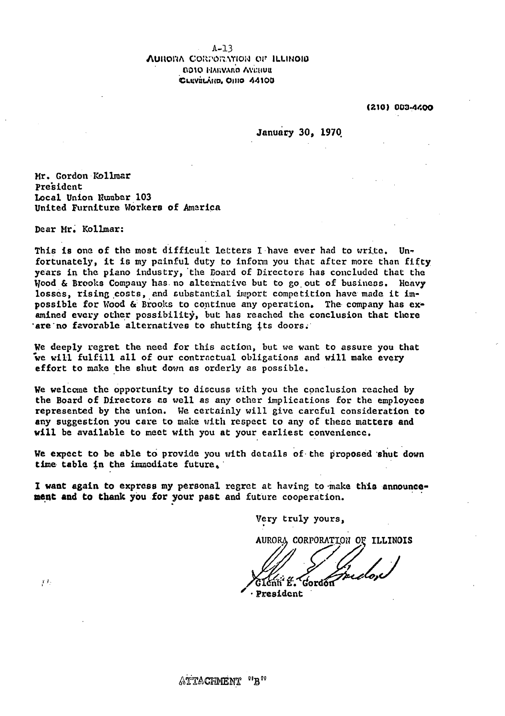#### A-13 AURORA CORPORATION OF ILLINOID 0010 HARVARO AVENUE CLEVELARD, OHIO 44100

(210) 003-4400

#### **January 30, 1970**

Mr. Gordon Kollmar President Local Union Number 103 United Furniture Workers of America

Dear Mr. Kollmar:

This is one of the most difficult letters I have ever had to write. Unfortunately, it is my painful duty to inform you that after more than fifty years in the piano industry, the Board of Directors has concluded that the Wood & Brooks Company has no alternative but to go out of business. Heavy losses, rising costs, and substantial import competition have made it impossible for Wood  $\&$  Brooks to continue any operation. The company has examined every other possibility, but has reached the conclusion that there ·are·no favorable alternatives to shutting its doors··

We deeply regret the need for this action, but we want to assure you that we will fulfill all of our contrnctual obligations and will make every effort to make the shut down as orderly as possible.

We welcome the opportunity to discuss with you the conclusion reached by the Board of Directors as well as any other implications for the employees represented by the union. We certainly will give careful consideration to any suggestion you care to make with respect to any of these matters and will be available to meet with you at your earliest convenience.

We expect to be able to provide you with details of the proposed shut down time table in the immediate future.

I want again to express my personal regret at having to make this announcement and to thank you for your past and future cooperation.

Very truly yours,

AURORA CORPORATION OF ILLINOIS medon

Gordor President

l *i.*